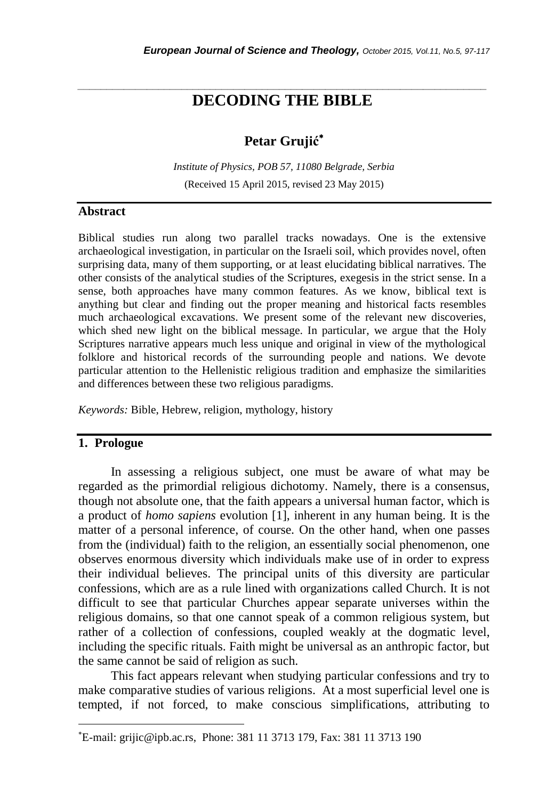## *\_\_\_\_\_\_\_\_\_\_\_\_\_\_\_\_\_\_\_\_\_\_\_\_\_\_\_\_\_\_\_\_\_\_\_\_\_\_\_\_\_\_\_\_\_\_\_\_\_\_\_\_\_\_\_\_\_\_\_\_\_\_\_\_\_\_\_\_\_\_\_* **DECODING THE BIBLE**

# **Petar Grujić**

*Institute of Physics, POB 57, 11080 Belgrade, Serbia* (Received 15 April 2015, revised 23 May 2015)

## **Abstract**

Biblical studies run along two parallel tracks nowadays. One is the extensive archaeological investigation, in particular on the Israeli soil, which provides novel, often surprising data, many of them supporting, or at least elucidating biblical narratives. The other consists of the analytical studies of the Scriptures, exegesis in the strict sense. In a sense, both approaches have many common features. As we know, biblical text is anything but clear and finding out the proper meaning and historical facts resembles much archaeological excavations. We present some of the relevant new discoveries, which shed new light on the biblical message. In particular, we argue that the Holy Scriptures narrative appears much less unique and original in view of the mythological folklore and historical records of the surrounding people and nations. We devote particular attention to the Hellenistic religious tradition and emphasize the similarities and differences between these two religious paradigms.

*Keywords:* Bible, Hebrew, religion, mythology, history

## **1. Prologue**

l

In assessing a religious subject, one must be aware of what may be regarded as the primordial religious dichotomy. Namely, there is a consensus, though not absolute one, that the faith appears a universal human factor, which is a product of *homo sapiens* evolution [1], inherent in any human being. It is the matter of a personal inference, of course. On the other hand, when one passes from the (individual) faith to the religion, an essentially social phenomenon, one observes enormous diversity which individuals make use of in order to express their individual believes. The principal units of this diversity are particular confessions, which are as a rule lined with organizations called Church. It is not difficult to see that particular Churches appear separate universes within the religious domains, so that one cannot speak of a common religious system, but rather of a collection of confessions, coupled weakly at the dogmatic level, including the specific rituals. Faith might be universal as an anthropic factor, but the same cannot be said of religion as such.

This fact appears relevant when studying particular confessions and try to make comparative studies of various religions. At a most superficial level one is tempted, if not forced, to make conscious simplifications, attributing to

E-mail: grijic@ipb.ac.rs, Phone: 381 11 3713 179, Fax: 381 11 3713 190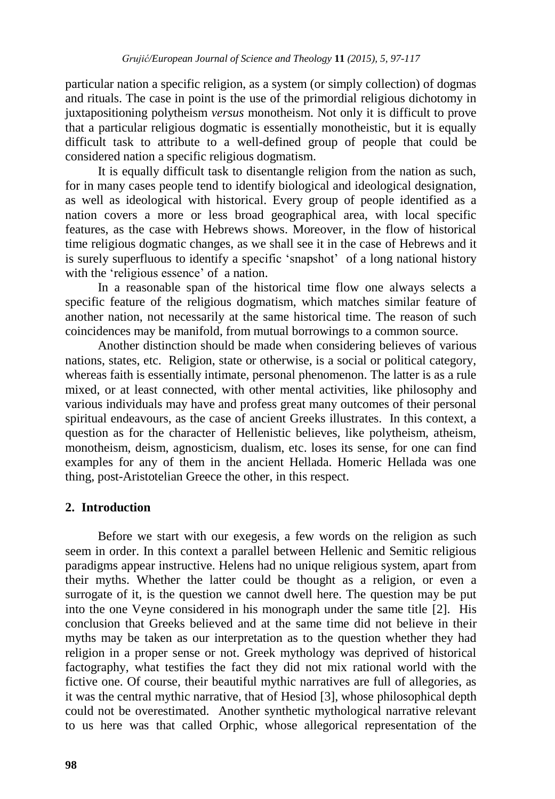particular nation a specific religion, as a system (or simply collection) of dogmas and rituals. The case in point is the use of the primordial religious dichotomy in juxtapositioning polytheism *versus* monotheism. Not only it is difficult to prove that a particular religious dogmatic is essentially monotheistic, but it is equally difficult task to attribute to a well-defined group of people that could be considered nation a specific religious dogmatism.

It is equally difficult task to disentangle religion from the nation as such, for in many cases people tend to identify biological and ideological designation, as well as ideological with historical. Every group of people identified as a nation covers a more or less broad geographical area, with local specific features, as the case with Hebrews shows. Moreover, in the flow of historical time religious dogmatic changes, as we shall see it in the case of Hebrews and it is surely superfluous to identify a specific "snapshot" of a long national history with the 'religious essence' of a nation.

In a reasonable span of the historical time flow one always selects a specific feature of the religious dogmatism, which matches similar feature of another nation, not necessarily at the same historical time. The reason of such coincidences may be manifold, from mutual borrowings to a common source.

Another distinction should be made when considering believes of various nations, states, etc. Religion, state or otherwise, is a social or political category, whereas faith is essentially intimate, personal phenomenon. The latter is as a rule mixed, or at least connected, with other mental activities, like philosophy and various individuals may have and profess great many outcomes of their personal spiritual endeavours, as the case of ancient Greeks illustrates. In this context, a question as for the character of Hellenistic believes, like polytheism, atheism, monotheism, deism, agnosticism, dualism, etc. loses its sense, for one can find examples for any of them in the ancient Hellada. Homeric Hellada was one thing, post-Aristotelian Greece the other, in this respect.

## **2. Introduction**

Before we start with our exegesis, a few words on the religion as such seem in order. In this context a parallel between Hellenic and Semitic religious paradigms appear instructive. Helens had no unique religious system, apart from their myths. Whether the latter could be thought as a religion, or even a surrogate of it, is the question we cannot dwell here. The question may be put into the one Veyne considered in his monograph under the same title [2]. His conclusion that Greeks believed and at the same time did not believe in their myths may be taken as our interpretation as to the question whether they had religion in a proper sense or not. Greek mythology was deprived of historical factography, what testifies the fact they did not mix rational world with the fictive one. Of course, their beautiful mythic narratives are full of allegories, as it was the central mythic narrative, that of Hesiod [3], whose philosophical depth could not be overestimated. Another synthetic mythological narrative relevant to us here was that called Orphic, whose allegorical representation of the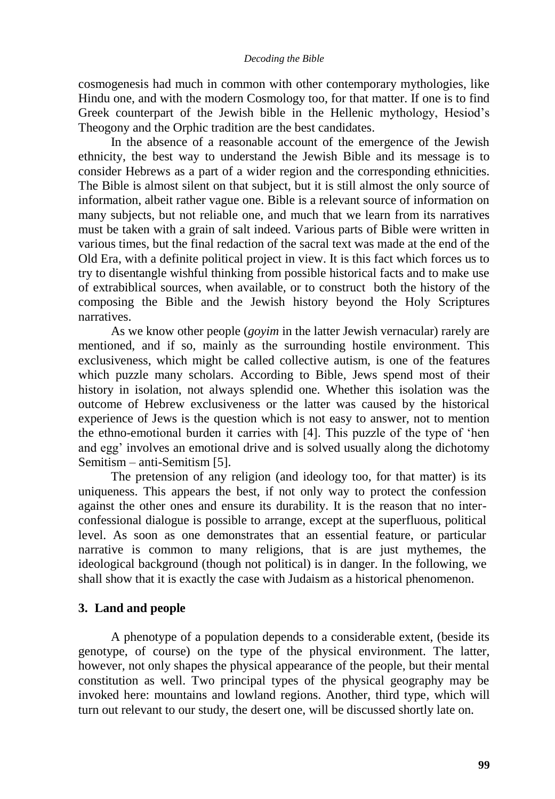cosmogenesis had much in common with other contemporary mythologies, like Hindu one, and with the modern Cosmology too, for that matter. If one is to find Greek counterpart of the Jewish bible in the Hellenic mythology, Hesiod"s Theogony and the Orphic tradition are the best candidates.

In the absence of a reasonable account of the emergence of the Jewish ethnicity, the best way to understand the Jewish Bible and its message is to consider Hebrews as a part of a wider region and the corresponding ethnicities. The Bible is almost silent on that subject, but it is still almost the only source of information, albeit rather vague one. Bible is a relevant source of information on many subjects, but not reliable one, and much that we learn from its narratives must be taken with a grain of salt indeed. Various parts of Bible were written in various times, but the final redaction of the sacral text was made at the end of the Old Era, with a definite political project in view. It is this fact which forces us to try to disentangle wishful thinking from possible historical facts and to make use of extrabiblical sources, when available, or to construct both the history of the composing the Bible and the Jewish history beyond the Holy Scriptures narratives.

As we know other people (*goyim* in the latter Jewish vernacular) rarely are mentioned, and if so, mainly as the surrounding hostile environment. This exclusiveness, which might be called collective autism, is one of the features which puzzle many scholars. According to Bible, Jews spend most of their history in isolation, not always splendid one. Whether this isolation was the outcome of Hebrew exclusiveness or the latter was caused by the historical experience of Jews is the question which is not easy to answer, not to mention the ethno-emotional burden it carries with [4]. This puzzle of the type of "hen and egg' involves an emotional drive and is solved usually along the dichotomy Semitism – anti-Semitism [5].

The pretension of any religion (and ideology too, for that matter) is its uniqueness. This appears the best, if not only way to protect the confession against the other ones and ensure its durability. It is the reason that no interconfessional dialogue is possible to arrange, except at the superfluous, political level. As soon as one demonstrates that an essential feature, or particular narrative is common to many religions, that is are just mythemes, the ideological background (though not political) is in danger. In the following, we shall show that it is exactly the case with Judaism as a historical phenomenon.

## **3. Land and people**

A phenotype of a population depends to a considerable extent, (beside its genotype, of course) on the type of the physical environment. The latter, however, not only shapes the physical appearance of the people, but their mental constitution as well. Two principal types of the physical geography may be invoked here: mountains and lowland regions. Another, third type, which will turn out relevant to our study, the desert one, will be discussed shortly late on.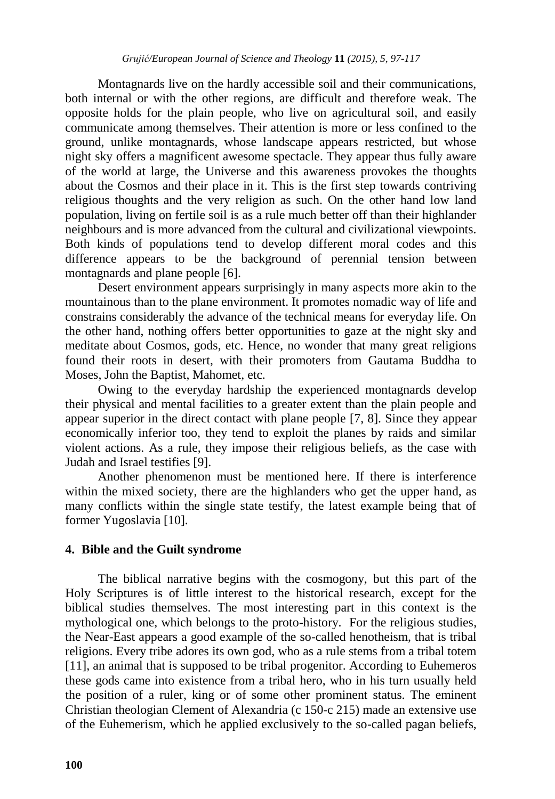Montagnards live on the hardly accessible soil and their communications, both internal or with the other regions, are difficult and therefore weak. The opposite holds for the plain people, who live on agricultural soil, and easily communicate among themselves. Their attention is more or less confined to the ground, unlike montagnards, whose landscape appears restricted, but whose night sky offers a magnificent awesome spectacle. They appear thus fully aware of the world at large, the Universe and this awareness provokes the thoughts about the Cosmos and their place in it. This is the first step towards contriving religious thoughts and the very religion as such. On the other hand low land population, living on fertile soil is as a rule much better off than their highlander neighbours and is more advanced from the cultural and civilizational viewpoints. Both kinds of populations tend to develop different moral codes and this difference appears to be the background of perennial tension between montagnards and plane people [6].

Desert environment appears surprisingly in many aspects more akin to the mountainous than to the plane environment. It promotes nomadic way of life and constrains considerably the advance of the technical means for everyday life. On the other hand, nothing offers better opportunities to gaze at the night sky and meditate about Cosmos, gods, etc. Hence, no wonder that many great religions found their roots in desert, with their promoters from Gautama Buddha to Moses, John the Baptist, Mahomet, etc.

Owing to the everyday hardship the experienced montagnards develop their physical and mental facilities to a greater extent than the plain people and appear superior in the direct contact with plane people [7, 8]. Since they appear economically inferior too, they tend to exploit the planes by raids and similar violent actions. As a rule, they impose their religious beliefs, as the case with Judah and Israel testifies [9].

Another phenomenon must be mentioned here. If there is interference within the mixed society, there are the highlanders who get the upper hand, as many conflicts within the single state testify, the latest example being that of former Yugoslavia [10].

## **4. Bible and the Guilt syndrome**

The biblical narrative begins with the cosmogony, but this part of the Holy Scriptures is of little interest to the historical research, except for the biblical studies themselves. The most interesting part in this context is the mythological one, which belongs to the proto-history. For the religious studies, the Near-East appears a good example of the so-called henotheism, that is tribal religions. Every tribe adores its own god, who as a rule stems from a tribal totem [11], an animal that is supposed to be tribal progenitor. According to Euhemeros these gods came into existence from a tribal hero, who in his turn usually held the position of a ruler, king or of some other prominent status. The eminent Christian theologian Clement of Alexandria (c 150-c 215) made an extensive use of the Euhemerism, which he applied exclusively to the so-called pagan beliefs,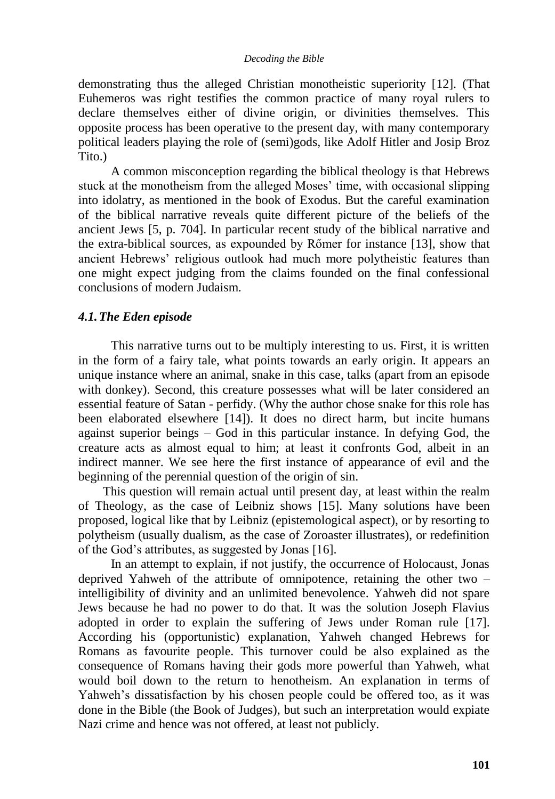demonstrating thus the alleged Christian monotheistic superiority [12]. (That Euhemeros was right testifies the common practice of many royal rulers to declare themselves either of divine origin, or divinities themselves. This opposite process has been operative to the present day, with many contemporary political leaders playing the role of (semi)gods, like Adolf Hitler and Josip Broz Tito.)

A common misconception regarding the biblical theology is that Hebrews stuck at the monotheism from the alleged Moses" time, with occasional slipping into idolatry, as mentioned in the book of Exodus. But the careful examination of the biblical narrative reveals quite different picture of the beliefs of the ancient Jews [5, p. 704]. In particular recent study of the biblical narrative and the extra-biblical sources, as expounded by Rőmer for instance [13], show that ancient Hebrews" religious outlook had much more polytheistic features than one might expect judging from the claims founded on the final confessional conclusions of modern Judaism.

## *4.1.The Eden episode*

This narrative turns out to be multiply interesting to us. First, it is written in the form of a fairy tale, what points towards an early origin. It appears an unique instance where an animal, snake in this case, talks (apart from an episode with donkey). Second, this creature possesses what will be later considered an essential feature of Satan - perfidy. (Why the author chose snake for this role has been elaborated elsewhere [14]). It does no direct harm, but incite humans against superior beings – God in this particular instance. In defying God, the creature acts as almost equal to him; at least it confronts God, albeit in an indirect manner. We see here the first instance of appearance of evil and the beginning of the perennial question of the origin of sin.

This question will remain actual until present day, at least within the realm of Theology, as the case of Leibniz shows [15]. Many solutions have been proposed, logical like that by Leibniz (epistemological aspect), or by resorting to polytheism (usually dualism, as the case of Zoroaster illustrates), or redefinition of the God"s attributes, as suggested by Jonas [16].

In an attempt to explain, if not justify, the occurrence of Holocaust, Jonas deprived Yahweh of the attribute of omnipotence, retaining the other two – intelligibility of divinity and an unlimited benevolence. Yahweh did not spare Jews because he had no power to do that. It was the solution Joseph Flavius adopted in order to explain the suffering of Jews under Roman rule [17]. According his (opportunistic) explanation, Yahweh changed Hebrews for Romans as favourite people. This turnover could be also explained as the consequence of Romans having their gods more powerful than Yahweh, what would boil down to the return to henotheism. An explanation in terms of Yahweh's dissatisfaction by his chosen people could be offered too, as it was done in the Bible (the Book of Judges), but such an interpretation would expiate Nazi crime and hence was not offered, at least not publicly.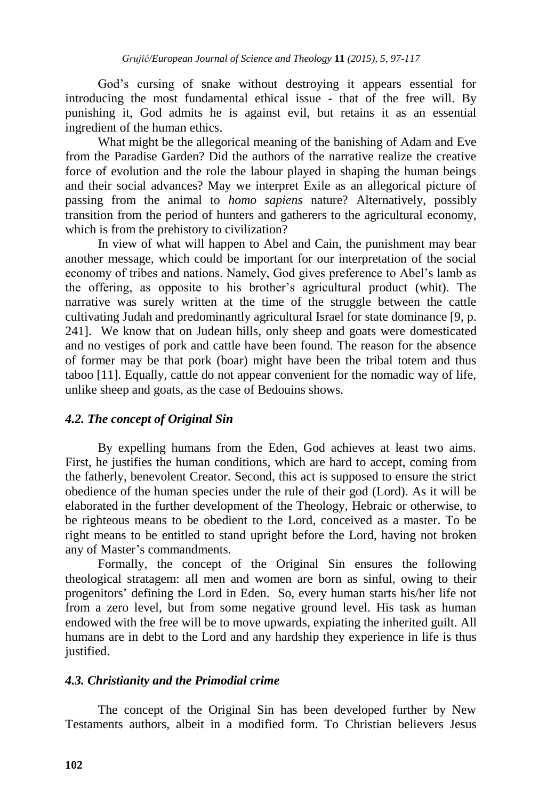God"s cursing of snake without destroying it appears essential for introducing the most fundamental ethical issue - that of the free will. By punishing it, God admits he is against evil, but retains it as an essential ingredient of the human ethics.

What might be the allegorical meaning of the banishing of Adam and Eve from the Paradise Garden? Did the authors of the narrative realize the creative force of evolution and the role the labour played in shaping the human beings and their social advances? May we interpret Exile as an allegorical picture of passing from the animal to *homo sapiens* nature? Alternatively, possibly transition from the period of hunters and gatherers to the agricultural economy, which is from the prehistory to civilization?

In view of what will happen to Abel and Cain, the punishment may bear another message, which could be important for our interpretation of the social economy of tribes and nations. Namely, God gives preference to Abel"s lamb as the offering, as opposite to his brother"s agricultural product (whit). The narrative was surely written at the time of the struggle between the cattle cultivating Judah and predominantly agricultural Israel for state dominance [9, p. 241]. We know that on Judean hills, only sheep and goats were domesticated and no vestiges of pork and cattle have been found. The reason for the absence of former may be that pork (boar) might have been the tribal totem and thus taboo [11]. Equally, cattle do not appear convenient for the nomadic way of life, unlike sheep and goats, as the case of Bedouins shows.

## *4.2. The concept of Original Sin*

By expelling humans from the Eden, God achieves at least two aims. First, he justifies the human conditions, which are hard to accept, coming from the fatherly, benevolent Creator. Second, this act is supposed to ensure the strict obedience of the human species under the rule of their god (Lord). As it will be elaborated in the further development of the Theology, Hebraic or otherwise, to be righteous means to be obedient to the Lord, conceived as a master. To be right means to be entitled to stand upright before the Lord, having not broken any of Master"s commandments.

Formally, the concept of the Original Sin ensures the following theological stratagem: all men and women are born as sinful, owing to their progenitors" defining the Lord in Eden. So, every human starts his/her life not from a zero level, but from some negative ground level. His task as human endowed with the free will be to move upwards, expiating the inherited guilt. All humans are in debt to the Lord and any hardship they experience in life is thus justified.

## *4.3. Christianity and the Primodial crime*

The concept of the Original Sin has been developed further by New Testaments authors, albeit in a modified form. To Christian believers Jesus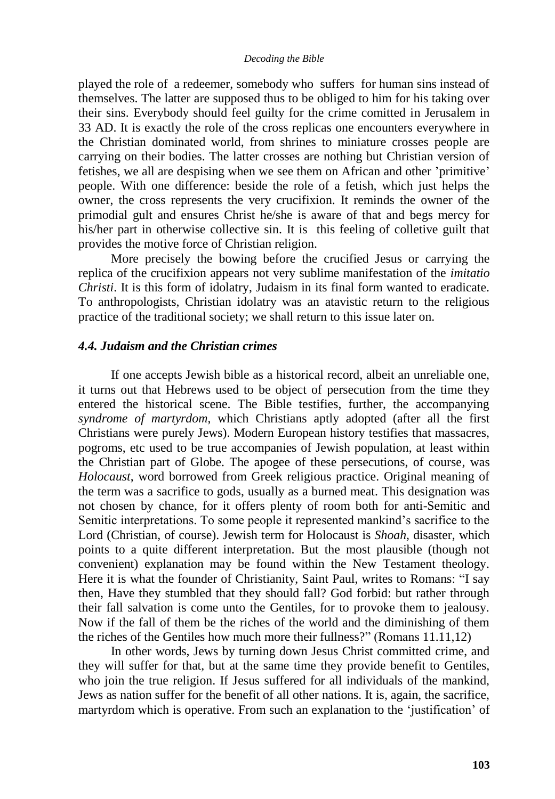played the role of a redeemer, somebody who suffers for human sins instead of themselves. The latter are supposed thus to be obliged to him for his taking over their sins. Everybody should feel guilty for the crime comitted in Jerusalem in 33 AD. It is exactly the role of the cross replicas one encounters everywhere in the Christian dominated world, from shrines to miniature crosses people are carrying on their bodies. The latter crosses are nothing but Christian version of fetishes, we all are despising when we see them on African and other "primitive" people. With one difference: beside the role of a fetish, which just helps the owner, the cross represents the very crucifixion. It reminds the owner of the primodial gult and ensures Christ he/she is aware of that and begs mercy for his/her part in otherwise collective sin. It is this feeling of colletive guilt that provides the motive force of Christian religion.

More precisely the bowing before the crucified Jesus or carrying the replica of the crucifixion appears not very sublime manifestation of the *imitatio Christi*. It is this form of idolatry, Judaism in its final form wanted to eradicate. To anthropologists, Christian idolatry was an atavistic return to the religious practice of the traditional society; we shall return to this issue later on.

## *4.4. Judaism and the Christian crimes*

If one accepts Jewish bible as a historical record, albeit an unreliable one, it turns out that Hebrews used to be object of persecution from the time they entered the historical scene. The Bible testifies, further, the accompanying *syndrome of martyrdom*, which Christians aptly adopted (after all the first Christians were purely Jews). Modern European history testifies that massacres, pogroms, etc used to be true accompanies of Jewish population, at least within the Christian part of Globe. The apogee of these persecutions, of course*,* was *Holocaust*, word borrowed from Greek religious practice. Original meaning of the term was a sacrifice to gods, usually as a burned meat. This designation was not chosen by chance, for it offers plenty of room both for anti-Semitic and Semitic interpretations. To some people it represented mankind"s sacrifice to the Lord (Christian, of course). Jewish term for Holocaust is *Shoah,* disaster*,* which points to a quite different interpretation. But the most plausible (though not convenient) explanation may be found within the New Testament theology. Here it is what the founder of Christianity, Saint Paul, writes to Romans: "I say then, Have they stumbled that they should fall? God forbid: but rather through their fall salvation is come unto the Gentiles, for to provoke them to jealousy. Now if the fall of them be the riches of the world and the diminishing of them the riches of the Gentiles how much more their fullness?" (Romans 11.11,12)

In other words, Jews by turning down Jesus Christ committed crime, and they will suffer for that, but at the same time they provide benefit to Gentiles, who join the true religion. If Jesus suffered for all individuals of the mankind, Jews as nation suffer for the benefit of all other nations. It is, again, the sacrifice, martyrdom which is operative. From such an explanation to the "justification" of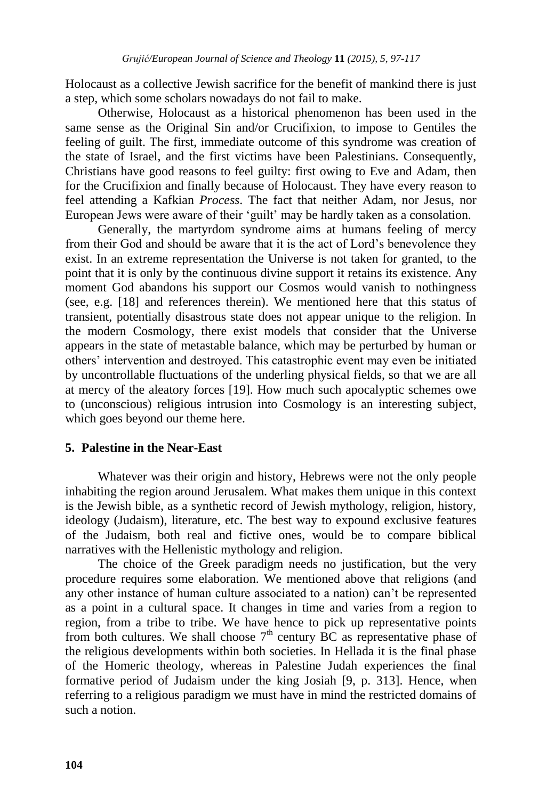Holocaust as a collective Jewish sacrifice for the benefit of mankind there is just a step, which some scholars nowadays do not fail to make.

Otherwise, Holocaust as a historical phenomenon has been used in the same sense as the Original Sin and/or Crucifixion, to impose to Gentiles the feeling of guilt. The first, immediate outcome of this syndrome was creation of the state of Israel, and the first victims have been Palestinians. Consequently, Christians have good reasons to feel guilty: first owing to Eve and Adam, then for the Crucifixion and finally because of Holocaust. They have every reason to feel attending a Kafkian *Process*. The fact that neither Adam, nor Jesus, nor European Jews were aware of their "guilt" may be hardly taken as a consolation.

Generally, the martyrdom syndrome aims at humans feeling of mercy from their God and should be aware that it is the act of Lord"s benevolence they exist. In an extreme representation the Universe is not taken for granted, to the point that it is only by the continuous divine support it retains its existence. Any moment God abandons his support our Cosmos would vanish to nothingness (see, e.g. [18] and references therein). We mentioned here that this status of transient, potentially disastrous state does not appear unique to the religion. In the modern Cosmology, there exist models that consider that the Universe appears in the state of metastable balance, which may be perturbed by human or others" intervention and destroyed. This catastrophic event may even be initiated by uncontrollable fluctuations of the underling physical fields, so that we are all at mercy of the aleatory forces [19]. How much such apocalyptic schemes owe to (unconscious) religious intrusion into Cosmology is an interesting subject, which goes beyond our theme here.

## **5. Palestine in the Near-East**

Whatever was their origin and history, Hebrews were not the only people inhabiting the region around Jerusalem. What makes them unique in this context is the Jewish bible, as a synthetic record of Jewish mythology, religion, history, ideology (Judaism), literature, etc. The best way to expound exclusive features of the Judaism, both real and fictive ones, would be to compare biblical narratives with the Hellenistic mythology and religion.

The choice of the Greek paradigm needs no justification, but the very procedure requires some elaboration. We mentioned above that religions (and any other instance of human culture associated to a nation) can"t be represented as a point in a cultural space. It changes in time and varies from a region to region, from a tribe to tribe. We have hence to pick up representative points from both cultures. We shall choose  $7<sup>th</sup>$  century BC as representative phase of the religious developments within both societies. In Hellada it is the final phase of the Homeric theology, whereas in Palestine Judah experiences the final formative period of Judaism under the king Josiah [9, p. 313]. Hence, when referring to a religious paradigm we must have in mind the restricted domains of such a notion.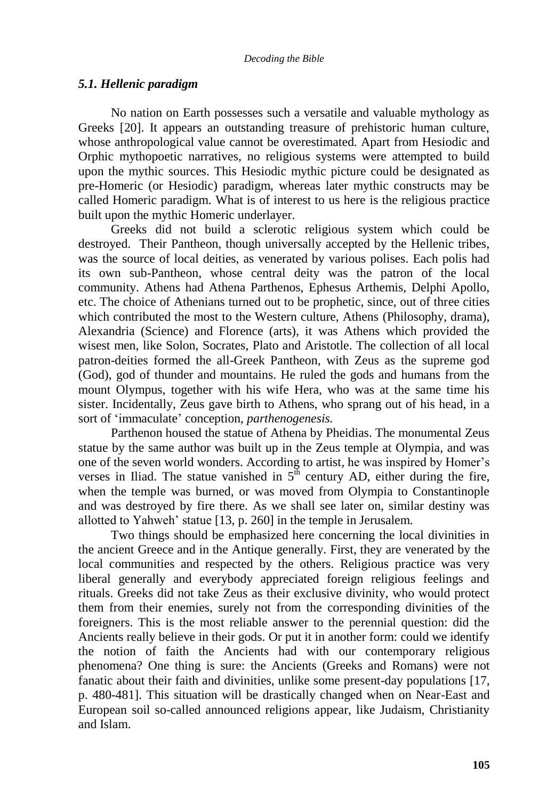### *5.1. Hellenic paradigm*

No nation on Earth possesses such a versatile and valuable mythology as Greeks [20]. It appears an outstanding treasure of prehistoric human culture, whose anthropological value cannot be overestimated. Apart from Hesiodic and Orphic mythopoetic narratives, no religious systems were attempted to build upon the mythic sources. This Hesiodic mythic picture could be designated as pre-Homeric (or Hesiodic) paradigm, whereas later mythic constructs may be called Homeric paradigm. What is of interest to us here is the religious practice built upon the mythic Homeric underlayer.

Greeks did not build a sclerotic religious system which could be destroyed. Their Pantheon, though universally accepted by the Hellenic tribes, was the source of local deities, as venerated by various polises. Each polis had its own sub-Pantheon, whose central deity was the patron of the local community. Athens had Athena Parthenos, Ephesus Arthemis, Delphi Apollo, etc. The choice of Athenians turned out to be prophetic, since, out of three cities which contributed the most to the Western culture, Athens (Philosophy, drama), Alexandria (Science) and Florence (arts), it was Athens which provided the wisest men, like Solon, Socrates, Plato and Aristotle. The collection of all local patron-deities formed the all-Greek Pantheon, with Zeus as the supreme god (God), god of thunder and mountains. He ruled the gods and humans from the mount Olympus, together with his wife Hera, who was at the same time his sister. Incidentally, Zeus gave birth to Athens, who sprang out of his head, in a sort of "immaculate" conception, *parthenogenesis.*

Parthenon housed the statue of Athena by Pheidias. The monumental Zeus statue by the same author was built up in the Zeus temple at Olympia, and was one of the seven world wonders. According to artist, he was inspired by Homer"s verses in Iliad. The statue vanished in  $5^{\overline{h}}$  century AD, either during the fire, when the temple was burned, or was moved from Olympia to Constantinople and was destroyed by fire there. As we shall see later on, similar destiny was allotted to Yahweh' statue [13, p. 260] in the temple in Jerusalem.

Two things should be emphasized here concerning the local divinities in the ancient Greece and in the Antique generally. First, they are venerated by the local communities and respected by the others. Religious practice was very liberal generally and everybody appreciated foreign religious feelings and rituals. Greeks did not take Zeus as their exclusive divinity, who would protect them from their enemies, surely not from the corresponding divinities of the foreigners. This is the most reliable answer to the perennial question: did the Ancients really believe in their gods. Or put it in another form: could we identify the notion of faith the Ancients had with our contemporary religious phenomena? One thing is sure: the Ancients (Greeks and Romans) were not fanatic about their faith and divinities, unlike some present-day populations [17, p. 480-481]. This situation will be drastically changed when on Near-East and European soil so-called announced religions appear, like Judaism, Christianity and Islam.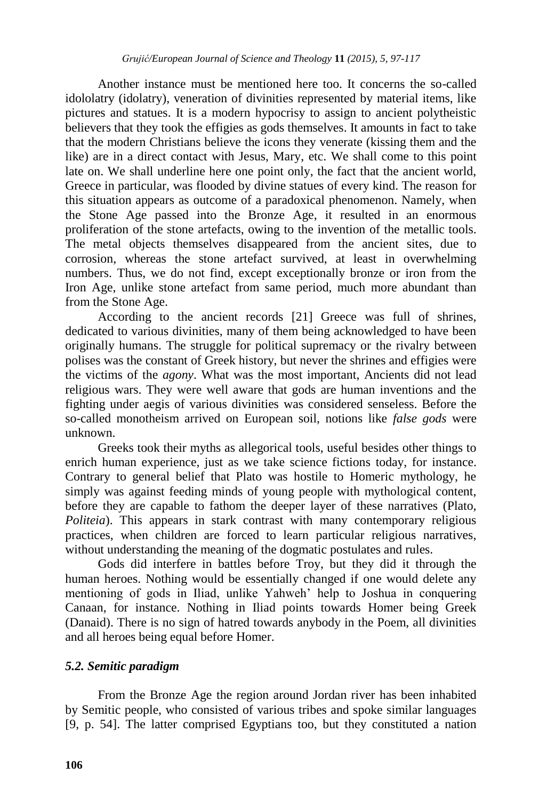Another instance must be mentioned here too. It concerns the so-called idololatry (idolatry), veneration of divinities represented by material items, like pictures and statues. It is a modern hypocrisy to assign to ancient polytheistic believers that they took the effigies as gods themselves. It amounts in fact to take that the modern Christians believe the icons they venerate (kissing them and the like) are in a direct contact with Jesus, Mary, etc. We shall come to this point late on. We shall underline here one point only, the fact that the ancient world, Greece in particular, was flooded by divine statues of every kind. The reason for this situation appears as outcome of a paradoxical phenomenon. Namely, when the Stone Age passed into the Bronze Age, it resulted in an enormous proliferation of the stone artefacts, owing to the invention of the metallic tools. The metal objects themselves disappeared from the ancient sites, due to corrosion, whereas the stone artefact survived, at least in overwhelming numbers. Thus, we do not find, except exceptionally bronze or iron from the Iron Age, unlike stone artefact from same period, much more abundant than from the Stone Age.

According to the ancient records [21] Greece was full of shrines, dedicated to various divinities, many of them being acknowledged to have been originally humans. The struggle for political supremacy or the rivalry between polises was the constant of Greek history, but never the shrines and effigies were the victims of the *agony*. What was the most important, Ancients did not lead religious wars. They were well aware that gods are human inventions and the fighting under aegis of various divinities was considered senseless. Before the so-called monotheism arrived on European soil, notions like *false gods* were unknown.

Greeks took their myths as allegorical tools, useful besides other things to enrich human experience, just as we take science fictions today, for instance. Contrary to general belief that Plato was hostile to Homeric mythology, he simply was against feeding minds of young people with mythological content, before they are capable to fathom the deeper layer of these narratives (Plato, *Politeia*). This appears in stark contrast with many contemporary religious practices, when children are forced to learn particular religious narratives, without understanding the meaning of the dogmatic postulates and rules.

Gods did interfere in battles before Troy, but they did it through the human heroes. Nothing would be essentially changed if one would delete any mentioning of gods in Iliad, unlike Yahweh" help to Joshua in conquering Canaan, for instance. Nothing in Iliad points towards Homer being Greek (Danaid). There is no sign of hatred towards anybody in the Poem, all divinities and all heroes being equal before Homer.

## *5.2. Semitic paradigm*

From the Bronze Age the region around Jordan river has been inhabited by Semitic people, who consisted of various tribes and spoke similar languages [9, p. 54]. The latter comprised Egyptians too, but they constituted a nation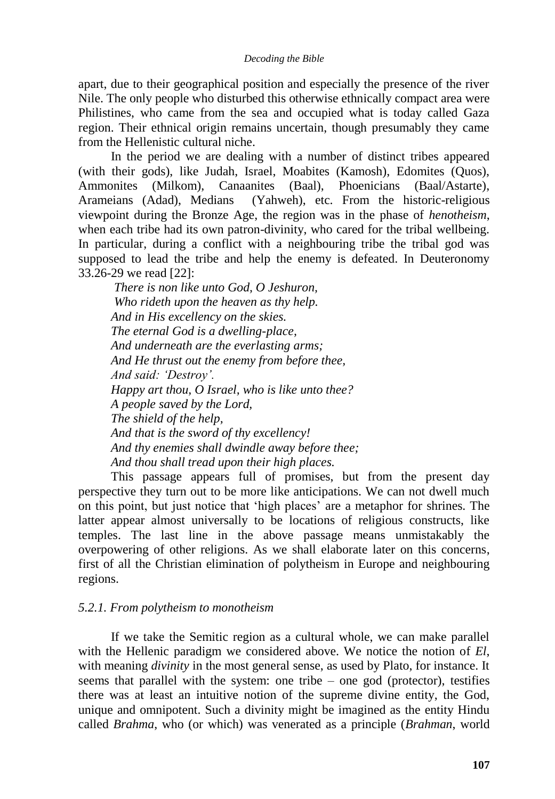apart, due to their geographical position and especially the presence of the river Nile. The only people who disturbed this otherwise ethnically compact area were Philistines, who came from the sea and occupied what is today called Gaza region. Their ethnical origin remains uncertain, though presumably they came from the Hellenistic cultural niche.

In the period we are dealing with a number of distinct tribes appeared (with their gods), like Judah, Israel, Moabites (Kamosh), Edomites (Quos), Ammonites (Milkom), Canaanites (Baal), Phoenicians (Baal/Astarte), Arameians (Adad), Medians (Yahweh), etc. From the historic-religious viewpoint during the Bronze Age, the region was in the phase of *henotheism*, when each tribe had its own patron-divinity, who cared for the tribal wellbeing. In particular, during a conflict with a neighbouring tribe the tribal god was supposed to lead the tribe and help the enemy is defeated. In Deuteronomy 33.26-29 we read [22]:

*There is non like unto God, O Jeshuron, Who rideth upon the heaven as thy help. And in His excellency on the skies. The eternal God is a dwelling-place, And underneath are the everlasting arms; And He thrust out the enemy from before thee, And said: 'Destroy'. Happy art thou, O Israel, who is like unto thee? A people saved by the Lord, The shield of the help, And that is the sword of thy excellency! And thy enemies shall dwindle away before thee; And thou shall tread upon their high places.*

This passage appears full of promises, but from the present day perspective they turn out to be more like anticipations. We can not dwell much on this point, but just notice that "high places" are a metaphor for shrines. The latter appear almost universally to be locations of religious constructs, like temples. The last line in the above passage means unmistakably the overpowering of other religions. As we shall elaborate later on this concerns, first of all the Christian elimination of polytheism in Europe and neighbouring regions.

## *5.2.1. From polytheism to monotheism*

If we take the Semitic region as a cultural whole, we can make parallel with the Hellenic paradigm we considered above. We notice the notion of *El*, with meaning *divinity* in the most general sense, as used by Plato, for instance. It seems that parallel with the system: one tribe – one god (protector), testifies there was at least an intuitive notion of the supreme divine entity, the God, unique and omnipotent. Such a divinity might be imagined as the entity Hindu called *Brahma*, who (or which) was venerated as a principle (*Brahman*, world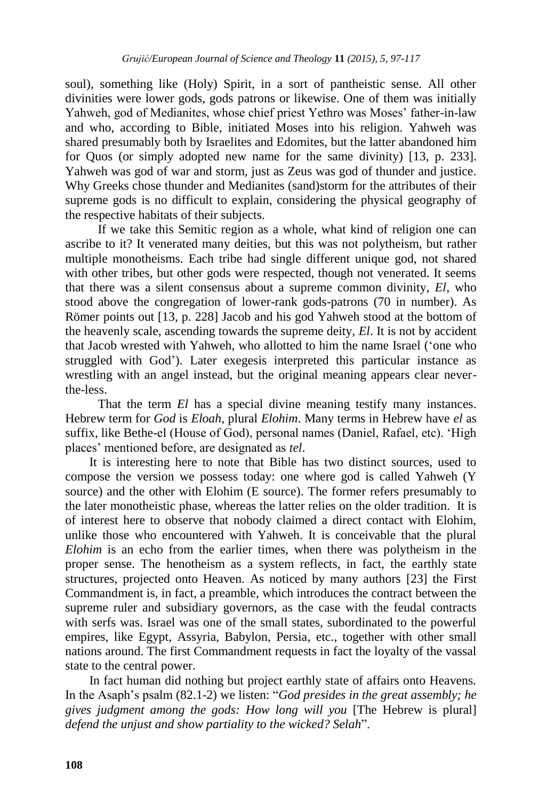soul), something like (Holy) Spirit, in a sort of pantheistic sense. All other divinities were lower gods, gods patrons or likewise. One of them was initially Yahweh, god of Medianites, whose chief priest Yethro was Moses" father-in-law and who, according to Bible, initiated Moses into his religion. Yahweh was shared presumably both by Israelites and Edomites, but the latter abandoned him for Quos (or simply adopted new name for the same divinity) [13, p. 233]. Yahweh was god of war and storm, just as Zeus was god of thunder and justice. Why Greeks chose thunder and Medianites (sand)storm for the attributes of their supreme gods is no difficult to explain, considering the physical geography of the respective habitats of their subjects.

If we take this Semitic region as a whole, what kind of religion one can ascribe to it? It venerated many deities, but this was not polytheism, but rather multiple monotheisms. Each tribe had single different unique god, not shared with other tribes, but other gods were respected, though not venerated. It seems that there was a silent consensus about a supreme common divinity, *El*, who stood above the congregation of lower-rank gods-patrons (70 in number). As Römer points out [13, p. 228] Jacob and his god Yahweh stood at the bottom of the heavenly scale, ascending towards the supreme deity, *El*. It is not by accident that Jacob wrested with Yahweh, who allotted to him the name Israel ("one who struggled with God"). Later exegesis interpreted this particular instance as wrestling with an angel instead, but the original meaning appears clear neverthe-less.

That the term *El* has a special divine meaning testify many instances. Hebrew term for *God* is *Eloah,* plural *Elohim*. Many terms in Hebrew have *el* as suffix, like Bethe-el (House of God), personal names (Daniel, Rafael, etc). "High places" mentioned before, are designated as *tel*.

It is interesting here to note that Bible has two distinct sources, used to compose the version we possess today: one where god is called Yahweh (Y source) and the other with Elohim (E source). The former refers presumably to the later monotheistic phase, whereas the latter relies on the older tradition. It is of interest here to observe that nobody claimed a direct contact with Elohim, unlike those who encountered with Yahweh. It is conceivable that the plural *Elohim* is an echo from the earlier times, when there was polytheism in the proper sense. The henotheism as a system reflects, in fact, the earthly state structures, projected onto Heaven. As noticed by many authors [23] the First Commandment is, in fact, a preamble, which introduces the contract between the supreme ruler and subsidiary governors, as the case with the feudal contracts with serfs was. Israel was one of the small states, subordinated to the powerful empires, like Egypt, Assyria, Babylon, Persia, etc., together with other small nations around. The first Commandment requests in fact the loyalty of the vassal state to the central power.

In fact human did nothing but project earthly state of affairs onto Heavens. In the Asaph's psalm (82.1-2) we listen: "*God presides in the great assembly; he gives judgment among the gods: How long will you* [The Hebrew is plural] *defend the unjust and show partiality to the wicked? Selah*".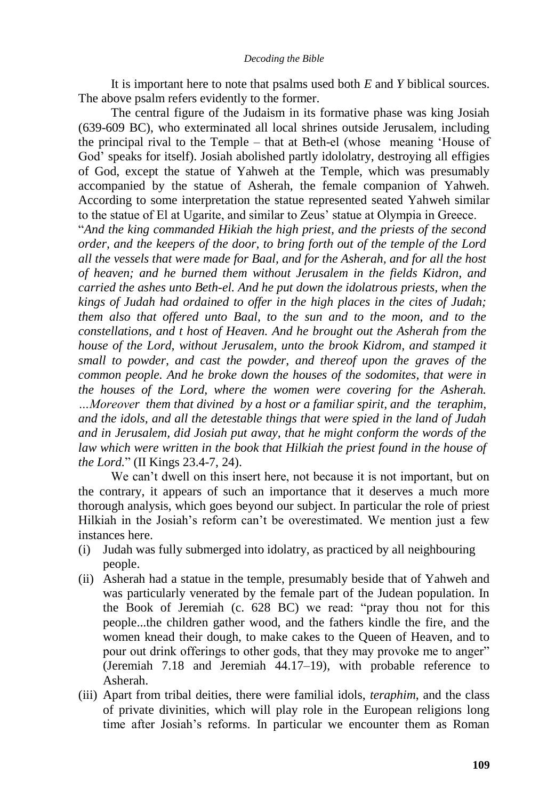It is important here to note that psalms used both *E* and *Y* biblical sources. The above psalm refers evidently to the former.

The central figure of the Judaism in its formative phase was king Josiah (639-609 BC), who exterminated all local shrines outside Jerusalem, including the principal rival to the Temple – that at Beth-el (whose meaning "House of God" speaks for itself). Josiah abolished partly idololatry, destroying all effigies of God, except the statue of Yahweh at the Temple, which was presumably accompanied by the statue of Asherah, the female companion of Yahweh. According to some interpretation the statue represented seated Yahweh similar to the statue of El at Ugarite, and similar to Zeus" statue at Olympia in Greece.

"*And the king commanded Hikiah the high priest, and the priests of the second order, and the keepers of the door, to bring forth out of the temple of the Lord all the vessels that were made for Baal, and for the Asherah, and for all the host of heaven; and he burned them without Jerusalem in the fields Kidron, and carried the ashes unto Beth-el. And he put down the idolatrous priests, when the kings of Judah had ordained to offer in the high places in the cites of Judah; them also that offered unto Baal, to the sun and to the moon, and to the constellations, and t host of Heaven. And he brought out the Asherah from the house of the Lord, without Jerusalem, unto the brook Kidrom, and stamped it small to powder, and cast the powder, and thereof upon the graves of the common people. And he broke down the houses of the sodomites, that were in the houses of the Lord, where the women were covering for the Asherah. …Moreover them that divined by a host or a familiar spirit, and the teraphim, and the idols, and all the detestable things that were spied in the land of Judah and in Jerusalem, did Josiah put away, that he might conform the words of the law which were written in the book that Hilkiah the priest found in the house of the Lord.*" (II Kings 23.4-7, 24).

We can't dwell on this insert here, not because it is not important, but on the contrary, it appears of such an importance that it deserves a much more thorough analysis, which goes beyond our subject. In particular the role of priest Hilkiah in the Josiah's reform can't be overestimated. We mention just a few instances here.

- (i) Judah was fully submerged into idolatry, as practiced by all neighbouring people.
- (ii) Asherah had a statue in the temple, presumably beside that of Yahweh and was particularly venerated by the female part of the Judean population. In the [Book of Jeremiah](http://en.wikipedia.org/wiki/Book_of_Jeremiah) (c. 628 BC) we read: "pray thou not for this people...the children gather wood, and the fathers kindle the fire, and the women knead their dough, to make cakes to the Queen of Heaven, and to pour out drink offerings to other gods, that they may provoke me to anger" (Jeremiah 7.18 and Jeremiah 44.17–19), with probable reference to Asherah.
- (iii) Apart from tribal deities, there were familial idols, *teraphim*, and the class of private divinities, which will play role in the European religions long time after Josiah's reforms. In particular we encounter them as Roman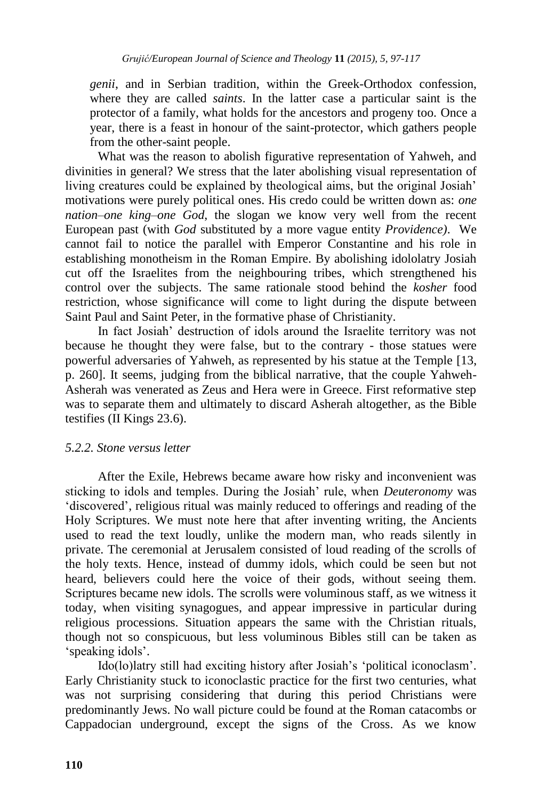*genii*, and in Serbian tradition, within the Greek-Orthodox confession, where they are called *saints*. In the latter case a particular saint is the protector of a family, what holds for the ancestors and progeny too. Once a year, there is a feast in honour of the saint-protector, which gathers people from the other-saint people.

What was the reason to abolish figurative representation of Yahweh, and divinities in general? We stress that the later abolishing visual representation of living creatures could be explained by theological aims, but the original Josiah" motivations were purely political ones. His credo could be written down as: *one nation–one king–one God*, the slogan we know very well from the recent European past (with *God* substituted by a more vague entity *Providence)*. We cannot fail to notice the parallel with Emperor Constantine and his role in establishing monotheism in the Roman Empire. By abolishing idololatry Josiah cut off the Israelites from the neighbouring tribes, which strengthened his control over the subjects. The same rationale stood behind the *kosher* food restriction, whose significance will come to light during the dispute between Saint Paul and Saint Peter, in the formative phase of Christianity.

In fact Josiah" destruction of idols around the Israelite territory was not because he thought they were false, but to the contrary - those statues were powerful adversaries of Yahweh, as represented by his statue at the Temple [13, p. 260]. It seems, judging from the biblical narrative, that the couple Yahweh-Asherah was venerated as Zeus and Hera were in Greece. First reformative step was to separate them and ultimately to discard Asherah altogether, as the Bible testifies (II Kings 23.6).

## *5.2.2. Stone versus letter*

After the Exile, Hebrews became aware how risky and inconvenient was sticking to idols and temples. During the Josiah" rule, when *Deuteronomy* was "discovered", religious ritual was mainly reduced to offerings and reading of the Holy Scriptures. We must note here that after inventing writing, the Ancients used to read the text loudly, unlike the modern man, who reads silently in private. The ceremonial at Jerusalem consisted of loud reading of the scrolls of the holy texts. Hence, instead of dummy idols, which could be seen but not heard, believers could here the voice of their gods, without seeing them. Scriptures became new idols. The scrolls were voluminous staff, as we witness it today, when visiting synagogues, and appear impressive in particular during religious processions. Situation appears the same with the Christian rituals, though not so conspicuous, but less voluminous Bibles still can be taken as 'speaking idols'.

Ido(lo)latry still had exciting history after Josiah"s "political iconoclasm". Early Christianity stuck to iconoclastic practice for the first two centuries, what was not surprising considering that during this period Christians were predominantly Jews. No wall picture could be found at the Roman catacombs or Cappadocian underground, except the signs of the Cross. As we know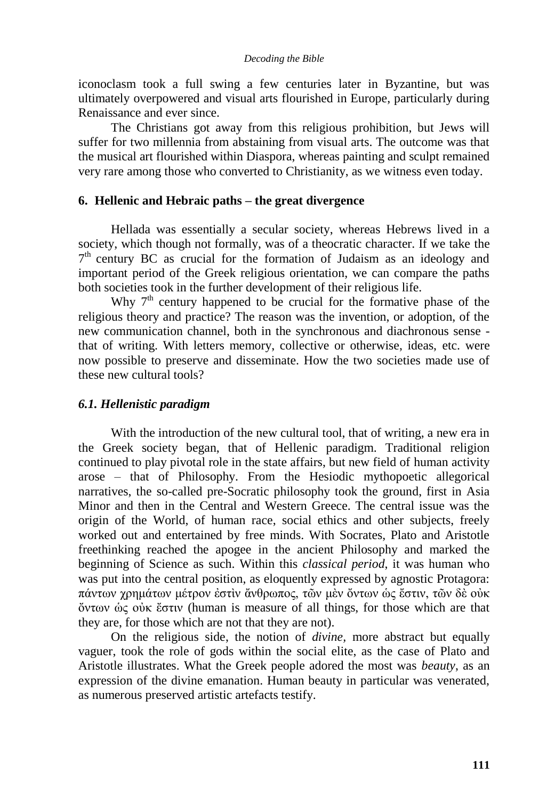iconoclasm took a full swing a few centuries later in Byzantine, but was ultimately overpowered and visual arts flourished in Europe, particularly during Renaissance and ever since.

The Christians got away from this religious prohibition, but Jews will suffer for two millennia from abstaining from visual arts. The outcome was that the musical art flourished within Diaspora, whereas painting and sculpt remained very rare among those who converted to Christianity, as we witness even today.

### **6. Hellenic and Hebraic paths – the great divergence**

Hellada was essentially a secular society, whereas Hebrews lived in a society, which though not formally, was of a theocratic character. If we take the 7<sup>th</sup> century BC as crucial for the formation of Judaism as an ideology and important period of the Greek religious orientation, we can compare the paths both societies took in the further development of their religious life.

Why 7<sup>th</sup> century happened to be crucial for the formative phase of the religious theory and practice? The reason was the invention, or adoption, of the new communication channel, both in the synchronous and diachronous sense that of writing. With letters memory, collective or otherwise, ideas, etc. were now possible to preserve and disseminate. How the two societies made use of these new cultural tools?

## *6.1. Hellenistic paradigm*

With the introduction of the new cultural tool, that of writing, a new era in the Greek society began, that of Hellenic paradigm. Traditional religion continued to play pivotal role in the state affairs, but new field of human activity arose – that of Philosophy. From the Hesiodic mythopoetic allegorical narratives, the so-called pre-Socratic philosophy took the ground, first in Asia Minor and then in the Central and Western Greece. The central issue was the origin of the World, of human race, social ethics and other subjects, freely worked out and entertained by free minds. With Socrates, Plato and Aristotle freethinking reached the apogee in the ancient Philosophy and marked the beginning of Science as such. Within this *classical period*, it was human who was put into the central position, as eloquently expressed by agnostic Protagora: πάντων χρημάτων μέτρον ἐστὶν ἄνθρωπος, τῶν μὲν ὄντων ὡς ἔστιν, τῶν δὲ οὐκ ὄντων ὡς οὐκ ἔστιν (human is measure of all things, for those which are that they are, for those which are not that they are not).

On the religious side, the notion of *divine,* more abstract but equally vaguer, took the role of gods within the social elite, as the case of Plato and Aristotle illustrates. What the Greek people adored the most was *beauty*, as an expression of the divine emanation. Human beauty in particular was venerated, as numerous preserved artistic artefacts testify.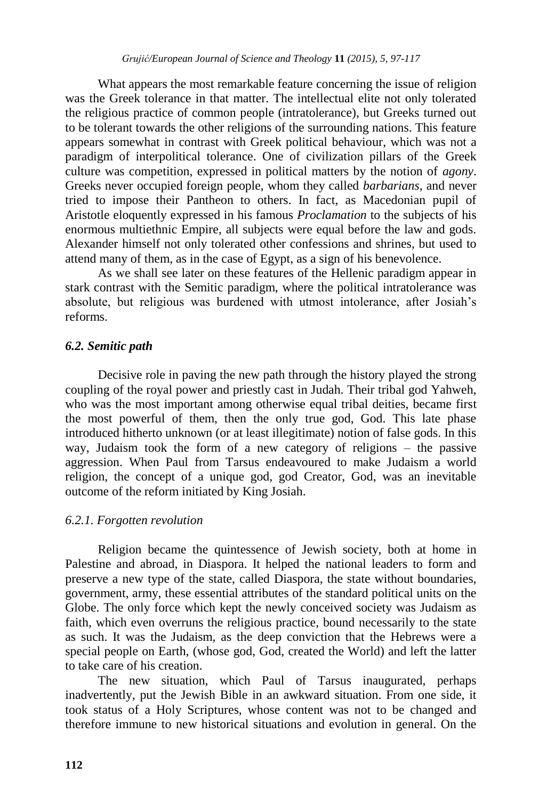What appears the most remarkable feature concerning the issue of religion was the Greek tolerance in that matter. The intellectual elite not only tolerated the religious practice of common people (intratolerance), but Greeks turned out to be tolerant towards the other religions of the surrounding nations. This feature appears somewhat in contrast with Greek political behaviour, which was not a paradigm of interpolitical tolerance. One of civilization pillars of the Greek culture was competition, expressed in political matters by the notion of *agony*. Greeks never occupied foreign people, whom they called *barbarians*, and never tried to impose their Pantheon to others. In fact, as Macedonian pupil of Aristotle eloquently expressed in his famous *Proclamation* to the subjects of his enormous multiethnic Empire, all subjects were equal before the law and gods. Alexander himself not only tolerated other confessions and shrines, but used to attend many of them, as in the case of Egypt, as a sign of his benevolence.

As we shall see later on these features of the Hellenic paradigm appear in stark contrast with the Semitic paradigm, where the political intratolerance was absolute, but religious was burdened with utmost intolerance, after Josiah"s reforms.

## *6.2. Semitic path*

Decisive role in paving the new path through the history played the strong coupling of the royal power and priestly cast in Judah. Their tribal god Yahweh, who was the most important among otherwise equal tribal deities, became first the most powerful of them, then the only true god, God. This late phase introduced hitherto unknown (or at least illegitimate) notion of false gods. In this way, Judaism took the form of a new category of religions – the passive aggression. When Paul from Tarsus endeavoured to make Judaism a world religion, the concept of a unique god, god Creator, God, was an inevitable outcome of the reform initiated by King Josiah.

## *6.2.1. Forgotten revolution*

Religion became the quintessence of Jewish society, both at home in Palestine and abroad, in Diaspora. It helped the national leaders to form and preserve a new type of the state, called Diaspora, the state without boundaries, government, army, these essential attributes of the standard political units on the Globe. The only force which kept the newly conceived society was Judaism as faith, which even overruns the religious practice, bound necessarily to the state as such. It was the Judaism, as the deep conviction that the Hebrews were a special people on Earth, (whose god, God, created the World) and left the latter to take care of his creation.

The new situation, which Paul of Tarsus inaugurated, perhaps inadvertently, put the Jewish Bible in an awkward situation. From one side, it took status of a Holy Scriptures, whose content was not to be changed and therefore immune to new historical situations and evolution in general. On the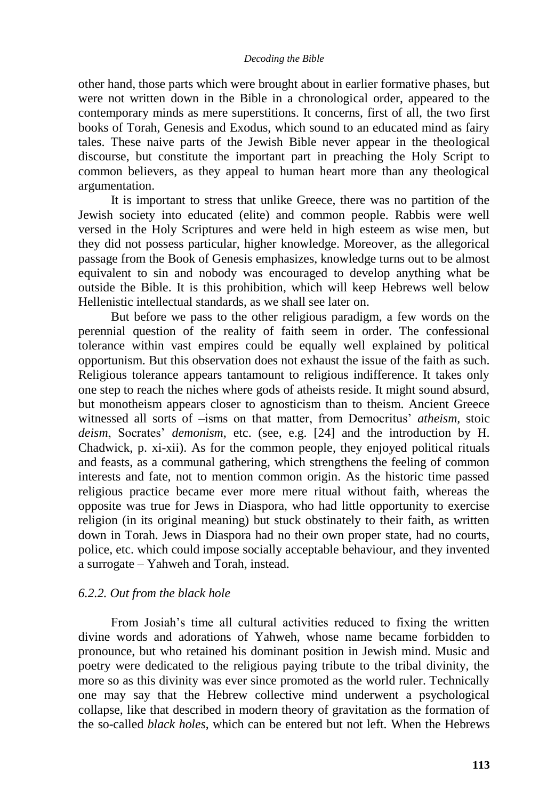other hand, those parts which were brought about in earlier formative phases, but were not written down in the Bible in a chronological order, appeared to the contemporary minds as mere superstitions. It concerns, first of all, the two first books of Torah, Genesis and Exodus, which sound to an educated mind as fairy tales. These naive parts of the Jewish Bible never appear in the theological discourse, but constitute the important part in preaching the Holy Script to common believers, as they appeal to human heart more than any theological argumentation.

It is important to stress that unlike Greece, there was no partition of the Jewish society into educated (elite) and common people. Rabbis were well versed in the Holy Scriptures and were held in high esteem as wise men, but they did not possess particular, higher knowledge. Moreover, as the allegorical passage from the Book of Genesis emphasizes, knowledge turns out to be almost equivalent to sin and nobody was encouraged to develop anything what be outside the Bible. It is this prohibition, which will keep Hebrews well below Hellenistic intellectual standards, as we shall see later on.

But before we pass to the other religious paradigm, a few words on the perennial question of the reality of faith seem in order. The confessional tolerance within vast empires could be equally well explained by political opportunism. But this observation does not exhaust the issue of the faith as such. Religious tolerance appears tantamount to religious indifference. It takes only one step to reach the niches where gods of atheists reside. It might sound absurd, but monotheism appears closer to agnosticism than to theism. Ancient Greece witnessed all sorts of –isms on that matter, from Democritus' *atheism*, stoic *deism*, Socrates' *demonism*, etc. (see, e.g. [24] and the introduction by H. Chadwick, p. xi-xii). As for the common people, they enjoyed political rituals and feasts, as a communal gathering, which strengthens the feeling of common interests and fate, not to mention common origin. As the historic time passed religious practice became ever more mere ritual without faith, whereas the opposite was true for Jews in Diaspora, who had little opportunity to exercise religion (in its original meaning) but stuck obstinately to their faith, as written down in Torah. Jews in Diaspora had no their own proper state, had no courts, police, etc. which could impose socially acceptable behaviour, and they invented a surrogate – Yahweh and Torah, instead.

## *6.2.2. Out from the black hole*

From Josiah"s time all cultural activities reduced to fixing the written divine words and adorations of Yahweh, whose name became forbidden to pronounce, but who retained his dominant position in Jewish mind. Music and poetry were dedicated to the religious paying tribute to the tribal divinity, the more so as this divinity was ever since promoted as the world ruler. Technically one may say that the Hebrew collective mind underwent a psychological collapse, like that described in modern theory of gravitation as the formation of the so-called *black holes*, which can be entered but not left*.* When the Hebrews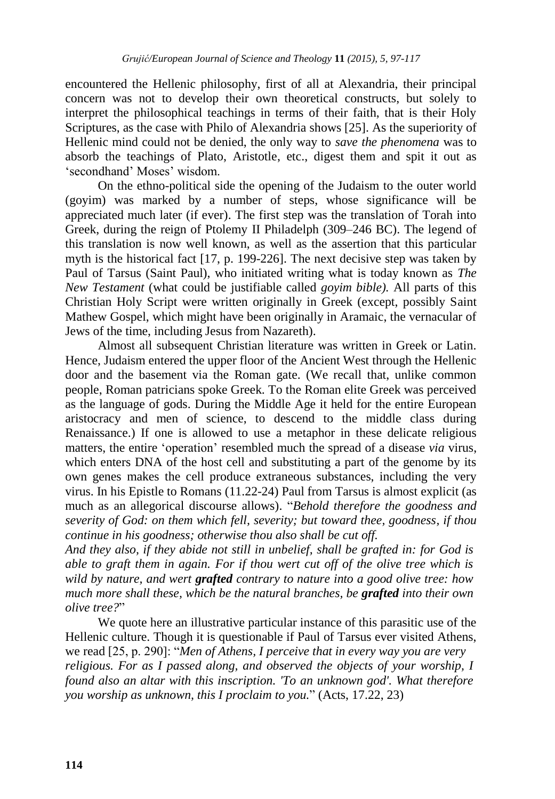encountered the Hellenic philosophy, first of all at Alexandria, their principal concern was not to develop their own theoretical constructs, but solely to interpret the philosophical teachings in terms of their faith, that is their Holy Scriptures, as the case with Philo of Alexandria shows [25]. As the superiority of Hellenic mind could not be denied, the only way to *save the phenomena* was to absorb the teachings of Plato, Aristotle, etc., digest them and spit it out as "secondhand" Moses" wisdom.

On the ethno-political side the opening of the Judaism to the outer world (goyim) was marked by a number of steps, whose significance will be appreciated much later (if ever). The first step was the translation of Torah into Greek, during the reign of Ptolemy II Philadelph (309–246 BC). The legend of this translation is now well known, as well as the assertion that this particular myth is the historical fact [17, p. 199-226]. The next decisive step was taken by Paul of Tarsus (Saint Paul), who initiated writing what is today known as *The New Testament* (what could be justifiable called *goyim bible).* All parts of this Christian Holy Script were written originally in Greek (except, possibly Saint Mathew Gospel, which might have been originally in Aramaic, the vernacular of Jews of the time, including Jesus from Nazareth).

Almost all subsequent Christian literature was written in Greek or Latin. Hence, Judaism entered the upper floor of the Ancient West through the Hellenic door and the basement via the Roman gate. (We recall that, unlike common people, Roman patricians spoke Greek. To the Roman elite Greek was perceived as the language of gods. During the Middle Age it held for the entire European aristocracy and men of science, to descend to the middle class during Renaissance.) If one is allowed to use a metaphor in these delicate religious matters, the entire "operation" resembled much the spread of a disease *via* virus, which enters DNA of the host cell and substituting a part of the genome by its own genes makes the cell produce extraneous substances, including the very virus. In his Epistle to Romans (11.22-24) Paul from Tarsus is almost explicit (as much as an allegorical discourse allows). "*Behold therefore the goodness and severity of God: on them which fell, severity; but toward thee, goodness, if thou continue in his goodness; otherwise thou also shall be cut off.*

*And they also, if they abide not still in unbelief, shall be grafted in: for God is able to graft them in again. For if thou wert cut off of the olive tree which is wild by nature, and wert grafted contrary to nature into a good olive tree: how much more shall these, which be the natural branches, be grafted into their own olive tree?*"

We quote here an illustrative particular instance of this parasitic use of the Hellenic culture. Though it is questionable if Paul of Tarsus ever visited Athens, we read [25, p. 290]: "*Men of Athens, I perceive that in every way you are very religious. For as I passed along, and observed the objects of your worship, I found also an altar with this inscription. 'To an unknown god'. What therefore you worship as unknown, this I proclaim to you.*" (Acts, 17.22, 23)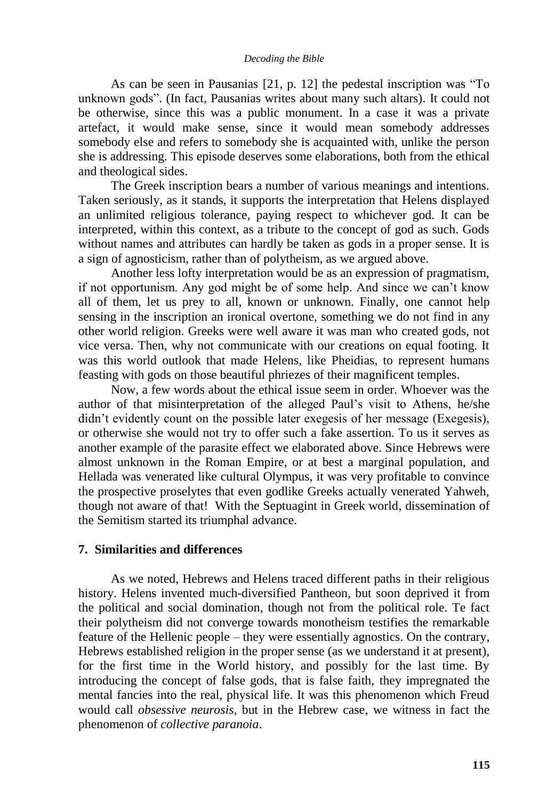As can be seen in Pausanias [21, p. 12] the pedestal inscription was "To unknown gods". (In fact, Pausanias writes about many such altars). It could not be otherwise, since this was a public monument. In a case it was a private artefact, it would make sense, since it would mean somebody addresses somebody else and refers to somebody she is acquainted with, unlike the person she is addressing. This episode deserves some elaborations, both from the ethical and theological sides.

The Greek inscription bears a number of various meanings and intentions. Taken seriously, as it stands, it supports the interpretation that Helens displayed an unlimited religious tolerance, paying respect to whichever god. It can be interpreted, within this context, as a tribute to the concept of god as such. Gods without names and attributes can hardly be taken as gods in a proper sense. It is a sign of agnosticism, rather than of polytheism, as we argued above.

Another less lofty interpretation would be as an expression of pragmatism, if not opportunism. Any god might be of some help. And since we can"t know all of them, let us prey to all, known or unknown. Finally, one cannot help sensing in the inscription an ironical overtone, something we do not find in any other world religion. Greeks were well aware it was man who created gods, not vice versa. Then, why not communicate with our creations on equal footing. It was this world outlook that made Helens, like Pheidias, to represent humans feasting with gods on those beautiful phriezes of their magnificent temples.

Now, a few words about the ethical issue seem in order. Whoever was the author of that misinterpretation of the alleged Paul"s visit to Athens, he/she didn"t evidently count on the possible later exegesis of her message (Exegesis), or otherwise she would not try to offer such a fake assertion. To us it serves as another example of the parasite effect we elaborated above. Since Hebrews were almost unknown in the Roman Empire, or at best a marginal population, and Hellada was venerated like cultural Olympus, it was very profitable to convince the prospective proselytes that even godlike Greeks actually venerated Yahweh, though not aware of that! With the Septuagint in Greek world, dissemination of the Semitism started its triumphal advance.

### **7. Similarities and differences**

As we noted, Hebrews and Helens traced different paths in their religious history. Helens invented much-diversified Pantheon, but soon deprived it from the political and social domination, though not from the political role. Te fact their polytheism did not converge towards monotheism testifies the remarkable feature of the Hellenic people – they were essentially agnostics. On the contrary, Hebrews established religion in the proper sense (as we understand it at present), for the first time in the World history, and possibly for the last time. By introducing the concept of false gods, that is false faith, they impregnated the mental fancies into the real, physical life. It was this phenomenon which Freud would call *obsessive neurosis*, but in the Hebrew case, we witness in fact the phenomenon of *collective paranoia*.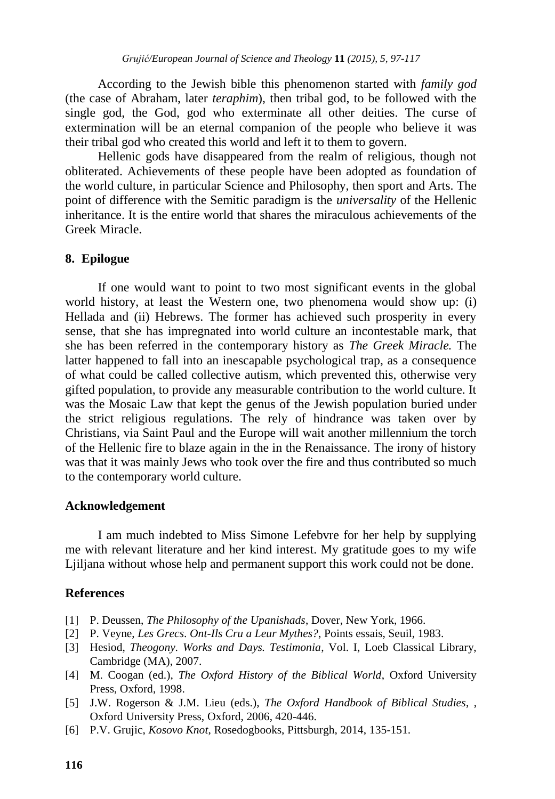According to the Jewish bible this phenomenon started with *family god*  (the case of Abraham, later *teraphim*), then tribal god, to be followed with the single god, the God, god who exterminate all other deities. The curse of extermination will be an eternal companion of the people who believe it was their tribal god who created this world and left it to them to govern.

Hellenic gods have disappeared from the realm of religious, though not obliterated. Achievements of these people have been adopted as foundation of the world culture, in particular Science and Philosophy, then sport and Arts. The point of difference with the Semitic paradigm is the *universality* of the Hellenic inheritance. It is the entire world that shares the miraculous achievements of the Greek Miracle.

## **8. Epilogue**

If one would want to point to two most significant events in the global world history, at least the Western one, two phenomena would show up: (i) Hellada and (ii) Hebrews. The former has achieved such prosperity in every sense, that she has impregnated into world culture an incontestable mark, that she has been referred in the contemporary history as *The Greek Miracle.* The latter happened to fall into an inescapable psychological trap, as a consequence of what could be called collective autism, which prevented this, otherwise very gifted population, to provide any measurable contribution to the world culture. It was the Mosaic Law that kept the genus of the Jewish population buried under the strict religious regulations. The rely of hindrance was taken over by Christians, via Saint Paul and the Europe will wait another millennium the torch of the Hellenic fire to blaze again in the in the Renaissance. The irony of history was that it was mainly Jews who took over the fire and thus contributed so much to the contemporary world culture.

### **Acknowledgement**

I am much indebted to Miss Simone Lefebvre for her help by supplying me with relevant literature and her kind interest. My gratitude goes to my wife Ljiljana without whose help and permanent support this work could not be done.

### **References**

- [1] P. Deussen, *The Philosophy of the Upanishads*, Dover, New York, 1966.
- [2] P. Veyne, *Les Grecs*. *Ont-Ils Cru a Leur Mythes?*, Points essais, Seuil, 1983.
- [3] Hesiod, *Theogony. Works and Days. Testimonia*, Vol. I, Loeb Classical Library, Cambridge (MA), 2007.
- [4] M. Coogan (ed.), *The Oxford History of the Biblical World*, Oxford University Press, Oxford, 1998.
- [5] J.W. Rogerson & J.M. Lieu (eds.), *The Oxford Handbook of Biblical Studies*, , Oxford University Press, Oxford, 2006, 420-446.
- [6] P.V. Grujic, *Kosovo Knot*, Rosedogbooks, Pittsburgh, 2014, 135-151.